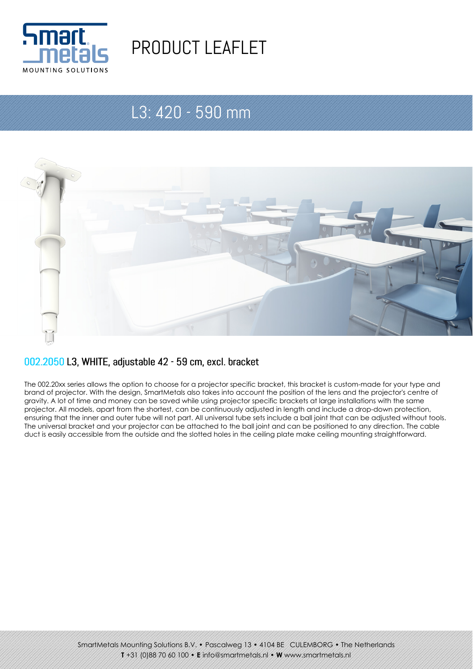

# PRODUCT LEAFLET

## L3: 420 - 590 mm



#### 002.2050 L3, WHITE, adjustable 42 - 59 cm, excl. bracket

The 002.20xx series allows the option to choose for a projector specific bracket, this bracket is custom-made for your type and brand of projector. With the design, SmartMetals also takes into account the position of the lens and the projector's centre of gravity. A lot of time and money can be saved while using projector specific brackets at large installations with the same projector. All models, apart from the shortest, can be continuously adjusted in length and include a drop-down protection, ensuring that the inner and outer tube will not part. All universal tube sets include a ball joint that can be adjusted without tools. The universal bracket and your projector can be attached to the ball joint and can be positioned to any direction. The cable duct is easily accessible from the outside and the slotted holes in the ceiling plate make ceiling mounting straightforward.